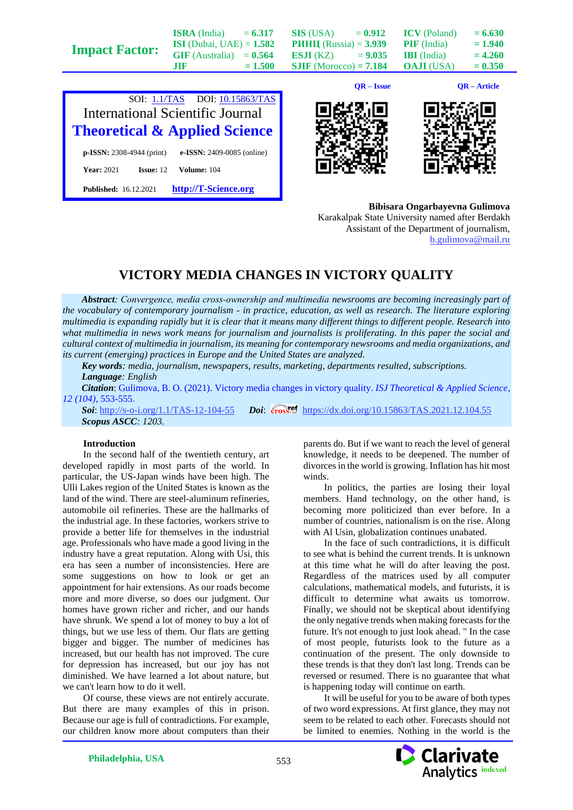|                       | <b>ISRA</b> (India)               | $= 6.317$ | SIS (USA)                       | $= 0.912$    | <b>ICV</b> (Poland) | $= 6.630$      |
|-----------------------|-----------------------------------|-----------|---------------------------------|--------------|---------------------|----------------|
| <b>Impact Factor:</b> | <b>ISI</b> (Dubai, UAE) = $1.582$ |           | <b>PHHII</b> (Russia) = $3.939$ |              | <b>PIF</b> (India)  | $= 1.940$      |
|                       | $GIF$ (Australia) = $0.564$       |           | <b>ESJI</b> (KZ) = $9.035$      |              | <b>IBI</b> (India)  | $= 4.260$      |
|                       | JIF.                              | $= 1.500$ | <b>SJIF</b> (Morocco) = $7.184$ |              | <b>OAJI</b> (USA)   | $= 0.350$      |
|                       |                                   |           |                                 |              |                     |                |
|                       |                                   |           |                                 | $OR - Issue$ |                     | $OR - Article$ |









**Bibisara Ongarbayevna Gulimova**

Karakalpak State University named after Berdakh Assistant of the Department of journalism, [b.gulimova@mail.ru](mailto:b.gulimova@mail.ru)

## **VICTORY MEDIA CHANGES IN VICTORY QUALITY**

*Abstract: Convergence, media cross‐ownership and multimedia newsrooms are becoming increasingly part of the vocabulary of contemporary journalism - in practice, education, as well as research. The literature exploring multimedia is expanding rapidly but it is clear that it means many different things to different people. Research into what multimedia in news work means for journalism and journalists is proliferating. In this paper the social and cultural context of multimedia in journalism, its meaning for contemporary newsrooms and media organizations, and its current (emerging) practices in Europe and the United States are analyzed.*

*Key words: media, journalism, newspapers, results, marketing, departments resulted, subscriptions. Language: English*

*Citation*: Gulimova, B. O. (2021). Victory media changes in victory quality. *ISJ Theoretical & Applied Science, 12 (104),* 553-555.

**Soi**[: http://s-o-i.org/1.1/TAS-12-104-55](http://s-o-i.org/1.1/TAS-12-104-55) *Doi: crossed <https://dx.doi.org/10.15863/TAS.2021.12.104.55> Scopus ASCC: 1203.*

## **Introduction**

In the second half of the twentieth century, art developed rapidly in most parts of the world. In particular, the US-Japan winds have been high. The Ulli Lakes region of the United States is known as the land of the wind. There are steel-aluminum refineries, automobile oil refineries. These are the hallmarks of the industrial age. In these factories, workers strive to provide a better life for themselves in the industrial age. Professionals who have made a good living in the industry have a great reputation. Along with Usi, this era has seen a number of inconsistencies. Here are some suggestions on how to look or get an appointment for hair extensions. As our roads become more and more diverse, so does our judgment. Our homes have grown richer and richer, and our hands have shrunk. We spend a lot of money to buy a lot of things, but we use less of them. Our flats are getting bigger and bigger. The number of medicines has increased, but our health has not improved. The cure for depression has increased, but our joy has not diminished. We have learned a lot about nature, but we can't learn how to do it well.

Of course, these views are not entirely accurate. But there are many examples of this in prison. Because our age is full of contradictions. For example, our children know more about computers than their parents do. But if we want to reach the level of general knowledge, it needs to be deepened. The number of divorces in the world is growing. Inflation has hit most winds.

In politics, the parties are losing their loyal members. Hand technology, on the other hand, is becoming more politicized than ever before. In a number of countries, nationalism is on the rise. Along with Al Usin, globalization continues unabated.

In the face of such contradictions, it is difficult to see what is behind the current trends. It is unknown at this time what he will do after leaving the post. Regardless of the matrices used by all computer calculations, mathematical models, and futurists, it is difficult to determine what awaits us tomorrow. Finally, we should not be skeptical about identifying the only negative trends when making forecasts for the future. It's not enough to just look ahead. " In the case of most people, futurists look to the future as a continuation of the present. The only downside to these trends is that they don't last long. Trends can be reversed or resumed. There is no guarantee that what is happening today will continue on earth.

It will be useful for you to be aware of both types of two word expressions. At first glance, they may not seem to be related to each other. Forecasts should not be limited to enemies. Nothing in the world is the

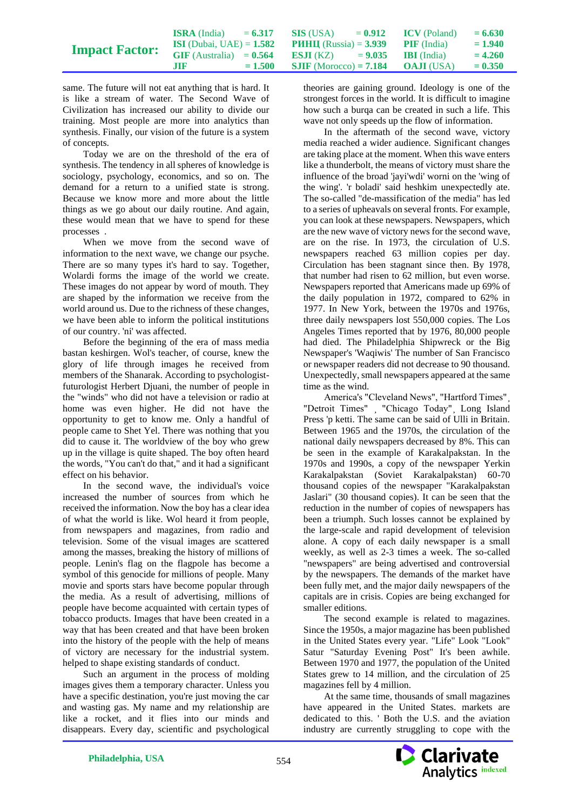|                       | <b>ISRA</b> (India)               | $= 6.317$ | $\text{SIS}$ (USA) = 0.912 ICV (Poland)            |  | $= 6.630$ |
|-----------------------|-----------------------------------|-----------|----------------------------------------------------|--|-----------|
| <b>Impact Factor:</b> | <b>ISI</b> (Dubai, UAE) = $1.582$ |           | <b>PHHII</b> (Russia) = $3.939$ <b>PIF</b> (India) |  | $= 1.940$ |
|                       | $GIF$ (Australia) = $0.564$       |           | <b>ESJI</b> (KZ) $= 9.035$ <b>IBI</b> (India)      |  | $= 4.260$ |
|                       | .TTR                              | $= 1.500$ | <b>SJIF</b> (Morocco) = <b>7.184 OAJI</b> (USA)    |  | $= 0.350$ |

same. The future will not eat anything that is hard. It is like a stream of water. The Second Wave of Civilization has increased our ability to divide our training. Most people are more into analytics than synthesis. Finally, our vision of the future is a system of concepts.

Today we are on the threshold of the era of synthesis. The tendency in all spheres of knowledge is sociology, psychology, economics, and so on. The demand for a return to a unified state is strong. Because we know more and more about the little things as we go about our daily routine. And again, these would mean that we have to spend for these processes .

When we move from the second wave of information to the next wave, we change our psyche. There are so many types it's hard to say. Together, Wolardi forms the image of the world we create. These images do not appear by word of mouth. They are shaped by the information we receive from the world around us. Due to the richness of these changes, we have been able to inform the political institutions of our country. 'ni' was affected.

Before the beginning of the era of mass media bastan keshirgen. Wol's teacher, of course, knew the glory of life through images he received from members of the Shanarak. According to psychologistfuturologist Herbert Djuani, the number of people in the "winds" who did not have a television or radio at home was even higher. He did not have the opportunity to get to know me. Only a handful of people came to Shet Yel. There was nothing that you did to cause it. The worldview of the boy who grew up in the village is quite shaped. The boy often heard the words, "You can't do that," and it had a significant effect on his behavior.

In the second wave, the individual's voice increased the number of sources from which he received the information. Now the boy has a clear idea of what the world is like. Wol heard it from people, from newspapers and magazines, from radio and television. Some of the visual images are scattered among the masses, breaking the history of millions of people. Lenin's flag on the flagpole has become a symbol of this genocide for millions of people. Many movie and sports stars have become popular through the media. As a result of advertising, millions of people have become acquainted with certain types of tobacco products. Images that have been created in a way that has been created and that have been broken into the history of the people with the help of means of victory are necessary for the industrial system. helped to shape existing standards of conduct.

Such an argument in the process of molding images gives them a temporary character. Unless you have a specific destination, you're just moving the car and wasting gas. My name and my relationship are like a rocket, and it flies into our minds and disappears. Every day, scientific and psychological

theories are gaining ground. Ideology is one of the strongest forces in the world. It is difficult to imagine how such a burqa can be created in such a life. This wave not only speeds up the flow of information.

In the aftermath of the second wave, victory media reached a wider audience. Significant changes are taking place at the moment. When this wave enters like a thunderbolt, the means of victory must share the influence of the broad 'jayi'wdi' worni on the 'wing of the wing'. 'r boladi' said heshkim unexpectedly ate. The so-called "de-massification of the media" has led to a series of upheavals on several fronts. For example, you can look at these newspapers. Newspapers, which are the new wave of victory news for the second wave, are on the rise. In 1973, the circulation of U.S. newspapers reached 63 million copies per day. Circulation has been stagnant since then. By 1978, that number had risen to 62 million, but even worse. Newspapers reported that Americans made up 69% of the daily population in 1972, compared to 62% in 1977. In New York, between the 1970s and 1976s, three daily newspapers lost 550,000 copies. The Los Angeles Times reported that by 1976, 80,000 people had died. The Philadelphia Shipwreck or the Big Newspaper's 'Waqiwis' The number of San Francisco or newspaper readers did not decrease to 90 thousand. Unexpectedly, small newspapers appeared at the same time as the wind.

America's "Cleveland News", "Hartford Times"¸ "Detroit Times" ¸ "Chicago Today"¸ Long Island Press 'p ketti. The same can be said of Ulli in Britain. Between 1965 and the 1970s, the circulation of the national daily newspapers decreased by 8%. This can be seen in the example of Karakalpakstan. In the 1970s and 1990s, a copy of the newspaper Yerkin Karakalpakstan (Soviet Karakalpakstan) 60-70 thousand copies of the newspaper "Karakalpakstan Jaslari" (30 thousand copies). It can be seen that the reduction in the number of copies of newspapers has been a triumph. Such losses cannot be explained by the large-scale and rapid development of television alone. A copy of each daily newspaper is a small weekly, as well as 2-3 times a week. The so-called "newspapers" are being advertised and controversial by the newspapers. The demands of the market have been fully met, and the major daily newspapers of the capitals are in crisis. Copies are being exchanged for smaller editions.

The second example is related to magazines. Since the 1950s, a major magazine has been published in the United States every year. "Life" Look "Look" Satur "Saturday Evening Post" It's been awhile. Between 1970 and 1977, the population of the United States grew to 14 million, and the circulation of 25 magazines fell by 4 million.

At the same time, thousands of small magazines have appeared in the United States. markets are dedicated to this. ' Both the U.S. and the aviation industry are currently struggling to cope with the